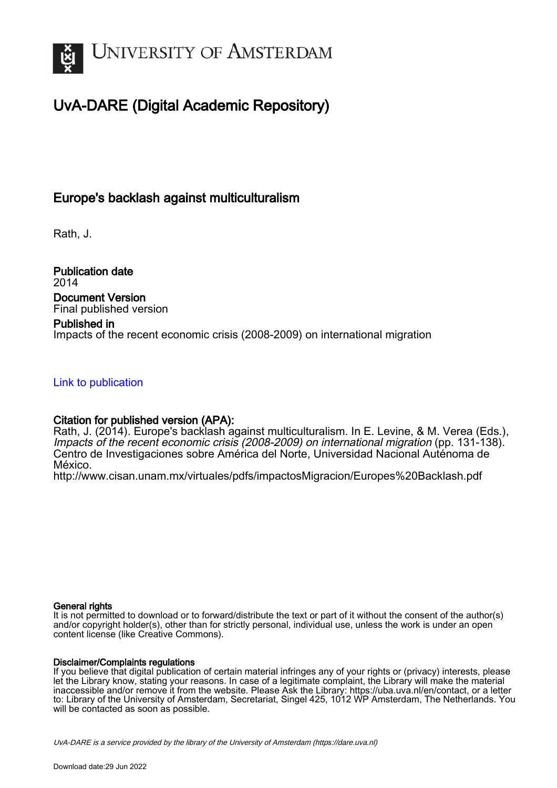

# UvA-DARE (Digital Academic Repository)

## Europe's backlash against multiculturalism

Rath, J.

Publication date 2014 Document Version Final published version

## Published in

Impacts of the recent economic crisis (2008-2009) on international migration

## [Link to publication](https://dare.uva.nl/personal/pure/en/publications/europes-backlash-against-multiculturalism(cce217b7-eb36-4a2b-b4e7-be19f1e303b1).html)

## Citation for published version (APA):

Rath, J. (2014). Europe's backlash against multiculturalism. In E. Levine, & M. Verea (Eds.), Impacts of the recent economic crisis (2008-2009) on international migration (pp. 131-138). Centro de Investigaciones sobre América del Norte, Universidad Nacional Auténoma de México.

<http://www.cisan.unam.mx/virtuales/pdfs/impactosMigracion/Europes%20Backlash.pdf>

#### General rights

It is not permitted to download or to forward/distribute the text or part of it without the consent of the author(s) and/or copyright holder(s), other than for strictly personal, individual use, unless the work is under an open content license (like Creative Commons).

#### Disclaimer/Complaints regulations

If you believe that digital publication of certain material infringes any of your rights or (privacy) interests, please let the Library know, stating your reasons. In case of a legitimate complaint, the Library will make the material inaccessible and/or remove it from the website. Please Ask the Library: https://uba.uva.nl/en/contact, or a letter to: Library of the University of Amsterdam, Secretariat, Singel 425, 1012 WP Amsterdam, The Netherlands. You will be contacted as soon as possible.

UvA-DARE is a service provided by the library of the University of Amsterdam (http*s*://dare.uva.nl)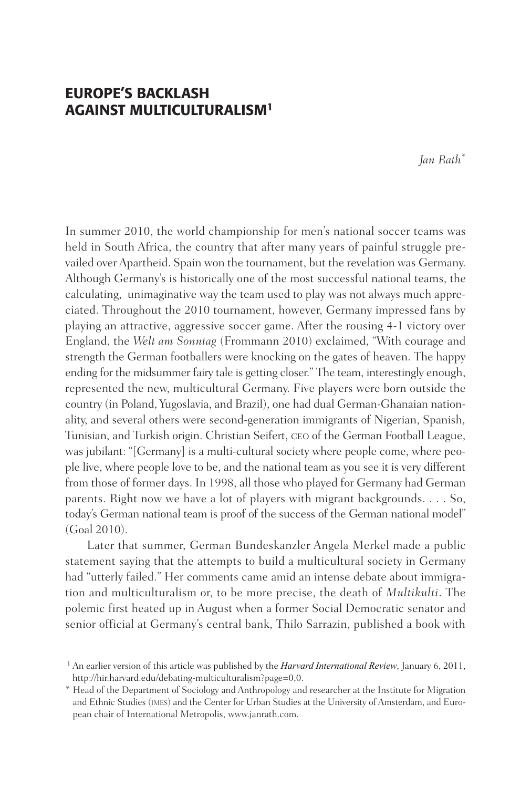## EUROPE'S BACKLASH AGAINST MULTICULTURALISM1

*Jan Rath\**

In summer 2010, the world championship for men's national soccer teams was held in South Africa, the country that after many years of painful struggle prevailed over Apartheid. Spain won the tournament, but the revelation was Germany. Although Germany's is historically one of the most successful national teams, the calculating, unimaginative way the team used to play was not always much appreciated. Throughout the 2010 tournament, however, Germany impressed fans by playing an attractive, aggressive soccer game. After the rousing 4-1 victory over England, the *Welt am Sonntag* (Frommann 2010) exclaimed, "With courage and strength the German footballers were knocking on the gates of heaven. The happy ending for the midsummer fairy tale is getting closer." The team, interestingly enough, represented the new, multicultural Germany. Five players were born outside the country (in Poland, Yugoslavia, and Brazil), one had dual German-Ghanaian nationality, and several others were second-generation immigrants of Nigerian, Spanish, Tunisian, and Turkish origin. Christian Seifert, ceo of the German Football League, was jubilant: "[Germany] is a multi-cultural society where people come, where people live, where people love to be, and the national team as you see it is very different from those of former days. In 1998, all those who played for Germany had German parents. Right now we have a lot of players with migrant backgrounds. . . . So, today's German national team is proof of the success of the German national model" (Goal 2010).

Later that summer, German Bundeskanzler Angela Merkel made a public statement saying that the attempts to build a multicultural society in Germany had "utterly failed." Her comments came amid an intense debate about immigration and multiculturalism or, to be more precise, the death of *Multikulti*. The polemic first heated up in August when a former Social Democratic senator and senior official at Germany's central bank, Thilo Sarrazin, published a book with

<sup>1</sup> An earlier version of this article was published by the *Harvard International Review*, January 6, 2011, http://hir.harvard.edu/debating-multiculturalism?page=0,0.

<sup>\*</sup> Head of the Department of Sociology and Anthropology and researcher at the Institute for Migration and Ethnic Studies (imes) and the Center for Urban Studies at the University of Amsterdam, and European chair of International Metropolis, www.janrath.com.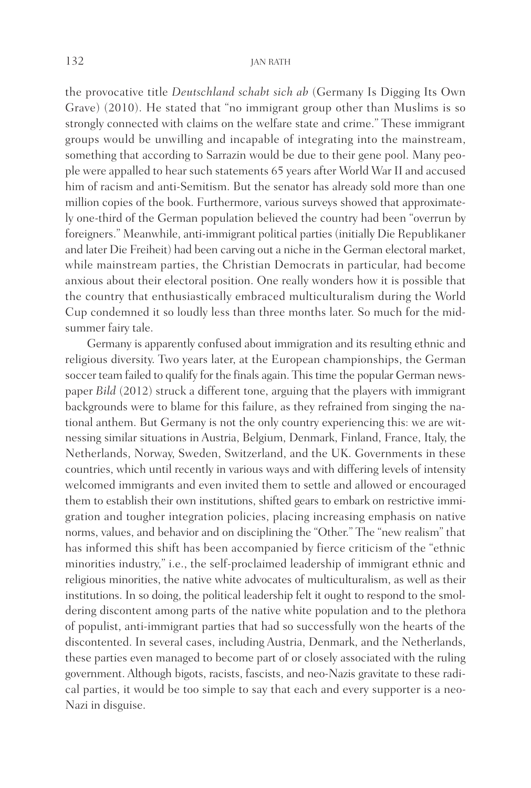#### 132 JAN RATH

the provocative title *Deutschland schabt sich ab* (Germany Is Digging Its Own Grave) (2010). He stated that "no immigrant group other than Muslims is so strongly connected with claims on the welfare state and crime." These immigrant groups would be unwilling and incapable of integrating into the mainstream, something that according to Sarrazin would be due to their gene pool. Many people were appalled to hear such statements 65 years after World War II and accused him of racism and anti-Semitism. But the senator has already sold more than one million copies of the book. Furthermore, various surveys showed that approximately one-third of the German population believed the country had been "overrun by foreigners." Meanwhile, anti-immigrant political parties (initially Die Republikaner and later Die Freiheit) had been carving out a niche in the German electoral market, while mainstream parties, the Christian Democrats in particular, had become anxious about their electoral position. One really wonders how it is possible that the country that enthusiastically embraced multiculturalism during the World Cup condemned it so loudly less than three months later. So much for the midsummer fairy tale.

Germany is apparently confused about immigration and its resulting ethnic and religious diversity. Two years later, at the European championships, the German soccer team failed to qualify for the finals again. This time the popular German newspaper *Bild* (2012) struck a different tone, arguing that the players with immigrant backgrounds were to blame for this failure, as they refrained from singing the national anthem. But Germany is not the only country experiencing this: we are witnessing similar situations in Austria, Belgium, Denmark, Finland, France, Italy, the Netherlands, Norway, Sweden, Switzerland, and the UK. Governments in these countries, which until recently in various ways and with differing levels of intensity welcomed immigrants and even invited them to settle and allowed or encouraged them to establish their own institutions, shifted gears to embark on restrictive immigration and tougher integration policies, placing increasing emphasis on native norms, values, and behavior and on disciplining the "Other." The "new realism" that has informed this shift has been accompanied by fierce criticism of the "ethnic minorities industry," i.e., the self-proclaimed leadership of immigrant ethnic and religious minorities, the native white advocates of multiculturalism, as well as their institutions. In so doing, the political leadership felt it ought to respond to the smoldering discontent among parts of the native white population and to the plethora of populist, anti-immigrant parties that had so successfully won the hearts of the discontented. In several cases, including Austria, Denmark, and the Netherlands, these parties even managed to become part of or closely associated with the ruling government. Although bigots, racists, fascists, and neo-Nazis gravitate to these radical parties, it would be too simple to say that each and every supporter is a neo-Nazi in disguise.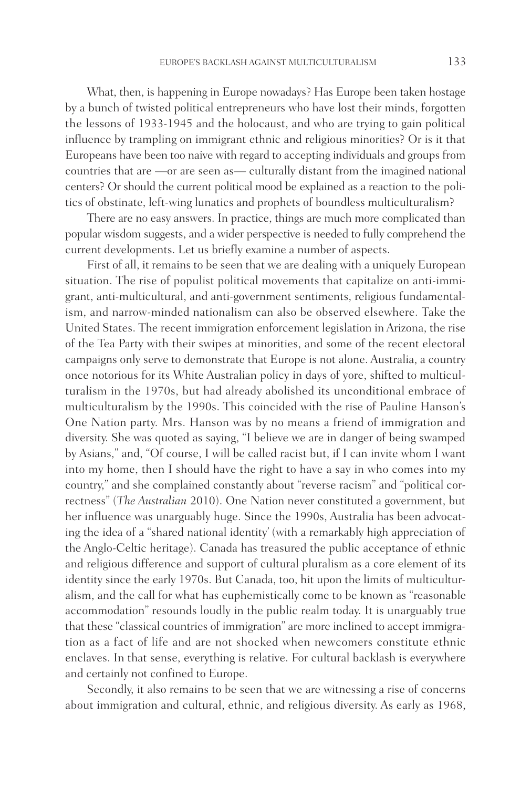What, then, is happening in Europe nowadays? Has Europe been taken hostage by a bunch of twisted political entrepreneurs who have lost their minds, forgotten the lessons of 1933-1945 and the holocaust, and who are trying to gain political influence by trampling on immigrant ethnic and religious minorities? Or is it that Europeans have been too naive with regard to accepting individuals and groups from countries that are —or are seen as— culturally distant from the imagined national centers? Or should the current political mood be explained as a reaction to the politics of obstinate, left-wing lunatics and prophets of boundless multiculturalism?

There are no easy answers. In practice, things are much more complicated than popular wisdom suggests, and a wider perspective is needed to fully comprehend the current developments. Let us briefly examine a number of aspects.

First of all, it remains to be seen that we are dealing with a uniquely European situation. The rise of populist political movements that capitalize on anti-immigrant, anti-multicultural, and anti-government sentiments, religious fundamentalism, and narrow-minded nationalism can also be observed elsewhere. Take the United States. The recent immigration enforcement legislation in Arizona, the rise of the Tea Party with their swipes at minorities, and some of the recent electoral campaigns only serve to demonstrate that Europe is not alone. Australia, a country once notorious for its White Australian policy in days of yore, shifted to multiculturalism in the 1970s, but had already abolished its unconditional embrace of multiculturalism by the 1990s. This coincided with the rise of Pauline Hanson's One Nation party. Mrs. Hanson was by no means a friend of immigration and diversity. She was quoted as saying, "I believe we are in danger of being swamped by Asians," and, "Of course, I will be called racist but, if I can invite whom I want into my home, then I should have the right to have a say in who comes into my country," and she complained constantly about "reverse racism" and "political correctness" (*The Australian* 2010). One Nation never constituted a government, but her influence was unarguably huge. Since the 1990s, Australia has been advocating the idea of a "shared national identity' (with a remarkably high appreciation of the Anglo-Celtic heritage). Canada has treasured the public acceptance of ethnic and religious difference and support of cultural pluralism as a core element of its identity since the early 1970s. But Canada, too, hit upon the limits of multiculturalism, and the call for what has euphemistically come to be known as "reasonable accommodation" resounds loudly in the public realm today. It is unarguably true that these "classical countries of immigration" are more inclined to accept immigration as a fact of life and are not shocked when newcomers constitute ethnic enclaves. In that sense, everything is relative. For cultural backlash is everywhere and certainly not confined to Europe.

Secondly, it also remains to be seen that we are witnessing a rise of concerns about immigration and cultural, ethnic, and religious diversity. As early as 1968,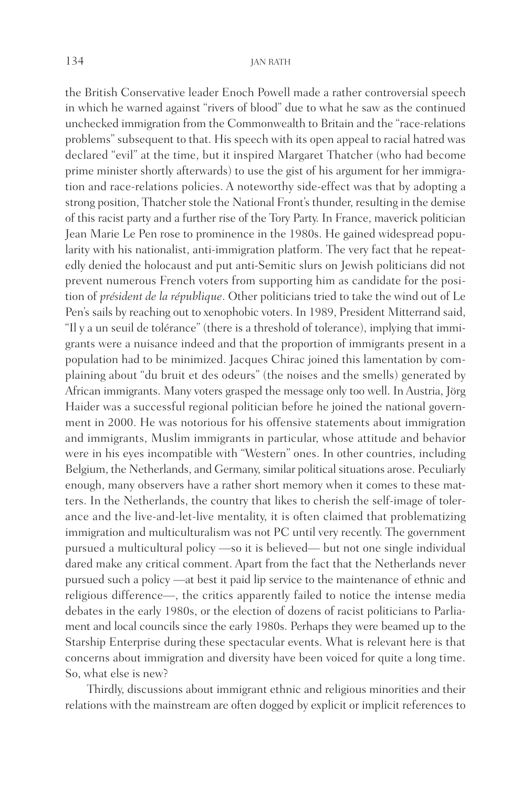the British Conservative leader Enoch Powell made a rather controversial speech in which he warned against "rivers of blood" due to what he saw as the continued unchecked immigration from the Commonwealth to Britain and the "race-relations problems" subsequent to that. His speech with its open appeal to racial hatred was declared "evil" at the time, but it inspired Margaret Thatcher (who had become prime minister shortly afterwards) to use the gist of his argument for her immigration and race-relations policies. A noteworthy side-effect was that by adopting a strong position, Thatcher stole the National Front's thunder, resulting in the demise of this racist party and a further rise of the Tory Party. In France, maverick politician Jean Marie Le Pen rose to prominence in the 1980s. He gained widespread popularity with his nationalist, anti-immigration platform. The very fact that he repeatedly denied the holocaust and put anti-Semitic slurs on Jewish politicians did not prevent numerous French voters from supporting him as candidate for the position of *président de la république*. Other politicians tried to take the wind out of Le Pen's sails by reaching out to xenophobic voters. In 1989, President Mitterrand said, "Il y a un seuil de tolérance" (there is a threshold of tolerance), implying that immigrants were a nuisance indeed and that the proportion of immigrants present in a population had to be minimized. Jacques Chirac joined this lamentation by complaining about "du bruit et des odeurs" (the noises and the smells) generated by African immigrants. Many voters grasped the message only too well. In Austria, Jörg Haider was a successful regional politician before he joined the national government in 2000. He was notorious for his offensive statements about immigration and immigrants, Muslim immigrants in particular, whose attitude and behavior were in his eyes incompatible with "Western" ones. In other countries, including Belgium, the Netherlands, and Germany, similar political situations arose. Peculiarly enough, many observers have a rather short memory when it comes to these matters. In the Netherlands, the country that likes to cherish the self-image of tolerance and the live-and-let-live mentality, it is often claimed that problematizing immigration and multiculturalism was not PC until very recently. The government pursued a multicultural policy —so it is believed— but not one single individual dared make any critical comment. Apart from the fact that the Netherlands never pursued such a policy —at best it paid lip service to the maintenance of ethnic and religious difference—, the critics apparently failed to notice the intense media debates in the early 1980s, or the election of dozens of racist politicians to Parliament and local councils since the early 1980s. Perhaps they were beamed up to the Starship Enterprise during these spectacular events. What is relevant here is that concerns about immigration and diversity have been voiced for quite a long time. So, what else is new?

Thirdly, discussions about immigrant ethnic and religious minorities and their relations with the mainstream are often dogged by explicit or implicit references to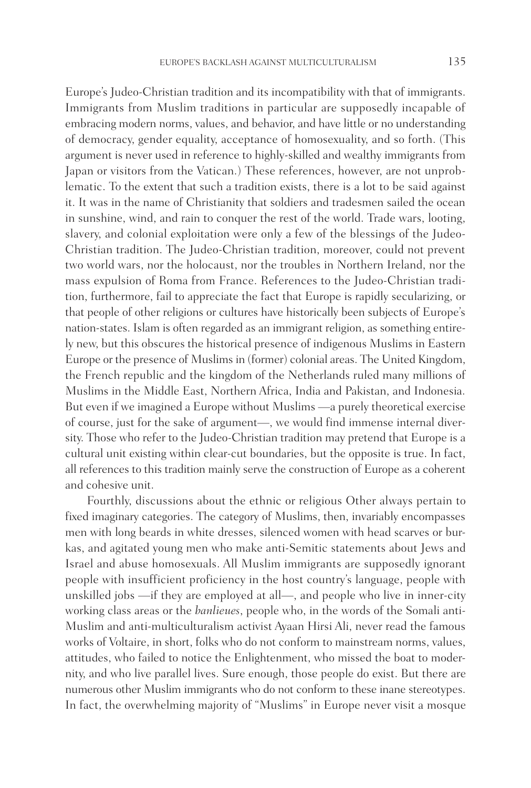Europe's Judeo-Christian tradition and its incompatibility with that of immigrants. Immigrants from Muslim traditions in particular are supposedly incapable of embracing modern norms, values, and behavior, and have little or no understanding of democracy, gender equality, acceptance of homosexuality, and so forth. (This argument is never used in reference to highly-skilled and wealthy immigrants from Japan or visitors from the Vatican.) These references, however, are not unproblematic. To the extent that such a tradition exists, there is a lot to be said against it. It was in the name of Christianity that soldiers and tradesmen sailed the ocean in sunshine, wind, and rain to conquer the rest of the world. Trade wars, looting, slavery, and colonial exploitation were only a few of the blessings of the Judeo-Christian tradition. The Judeo-Christian tradition, moreover, could not prevent two world wars, nor the holocaust, nor the troubles in Northern Ireland, nor the mass expulsion of Roma from France. References to the Judeo-Christian tradition, furthermore, fail to appreciate the fact that Europe is rapidly secularizing, or that people of other religions or cultures have historically been subjects of Europe's nation-states. Islam is often regarded as an immigrant religion, as something entirely new, but this obscures the historical presence of indigenous Muslims in Eastern Europe or the presence of Muslims in (former) colonial areas. The United Kingdom, the French republic and the kingdom of the Netherlands ruled many millions of Muslims in the Middle East, Northern Africa, India and Pakistan, and Indonesia. But even if we imagined a Europe without Muslims —a purely theoretical exercise of course, just for the sake of argument—, we would find immense internal diversity. Those who refer to the Judeo-Christian tradition may pretend that Europe is a cultural unit existing within clear-cut boundaries, but the opposite is true. In fact, all references to this tradition mainly serve the construction of Europe as a coherent and cohesive unit.

Fourthly, discussions about the ethnic or religious Other always pertain to fixed imaginary categories. The category of Muslims, then, invariably encompasses men with long beards in white dresses, silenced women with head scarves or burkas, and agitated young men who make anti-Semitic statements about Jews and Israel and abuse homosexuals. All Muslim immigrants are supposedly ignorant people with insufficient proficiency in the host country's language, people with unskilled jobs —if they are employed at all—, and people who live in inner-city working class areas or the *banlieues*, people who, in the words of the Somali anti-Muslim and anti-multiculturalism activist Ayaan Hirsi Ali, never read the famous works of Voltaire, in short, folks who do not conform to mainstream norms, values, attitudes, who failed to notice the Enlightenment, who missed the boat to modernity, and who live parallel lives. Sure enough, those people do exist. But there are numerous other Muslim immigrants who do not conform to these inane stereotypes. In fact, the overwhelming majority of "Muslims" in Europe never visit a mosque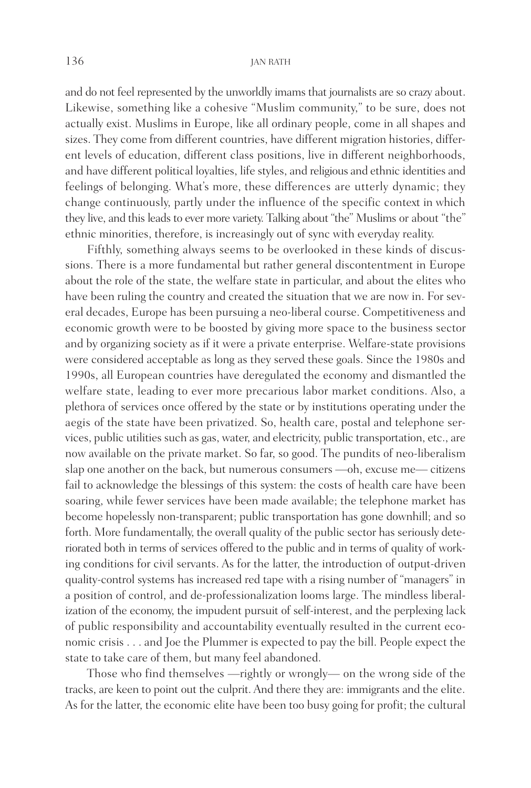#### 136 JAN RATH

and do not feel represented by the unworldly imams that journalists are so crazy about. Likewise, something like a cohesive "Muslim community," to be sure, does not actually exist. Muslims in Europe, like all ordinary people, come in all shapes and sizes. They come from different countries, have different migration histories, different levels of education, different class positions, live in different neighborhoods, and have different political loyalties, life styles, and religious and ethnic identities and feelings of belonging. What's more, these differences are utterly dynamic; they change continuously, partly under the influence of the specific context in which they live, and this leads to ever more variety. Talking about "the" Muslims or about "the" ethnic minorities, therefore, is increasingly out of sync with everyday reality.

Fifthly, something always seems to be overlooked in these kinds of discussions. There is a more fundamental but rather general discontentment in Europe about the role of the state, the welfare state in particular, and about the elites who have been ruling the country and created the situation that we are now in. For several decades, Europe has been pursuing a neo-liberal course. Competitiveness and economic growth were to be boosted by giving more space to the business sector and by organizing society as if it were a private enterprise. Welfare-state provisions were considered acceptable as long as they served these goals. Since the 1980s and 1990s, all European countries have deregulated the economy and dismantled the welfare state, leading to ever more precarious labor market conditions. Also, a plethora of services once offered by the state or by institutions operating under the aegis of the state have been privatized. So, health care, postal and telephone services, public utilities such as gas, water, and electricity, public transportation, etc., are now available on the private market. So far, so good. The pundits of neo-liberalism slap one another on the back, but numerous consumers —oh, excuse me— citizens fail to acknowledge the blessings of this system: the costs of health care have been soaring, while fewer services have been made available; the telephone market has become hopelessly non-transparent; public transportation has gone downhill; and so forth. More fundamentally, the overall quality of the public sector has seriously deteriorated both in terms of services offered to the public and in terms of quality of working conditions for civil servants. As for the latter, the introduction of output-driven quality-control systems has increased red tape with a rising number of "managers" in a position of control, and de-professionalization looms large. The mindless liberalization of the economy, the impudent pursuit of self-interest, and the perplexing lack of public responsibility and accountability eventually resulted in the current economic crisis . . . and Joe the Plummer is expected to pay the bill. People expect the state to take care of them, but many feel abandoned.

Those who find themselves —rightly or wrongly— on the wrong side of the tracks, are keen to point out the culprit. And there they are: immigrants and the elite. As for the latter, the economic elite have been too busy going for profit; the cultural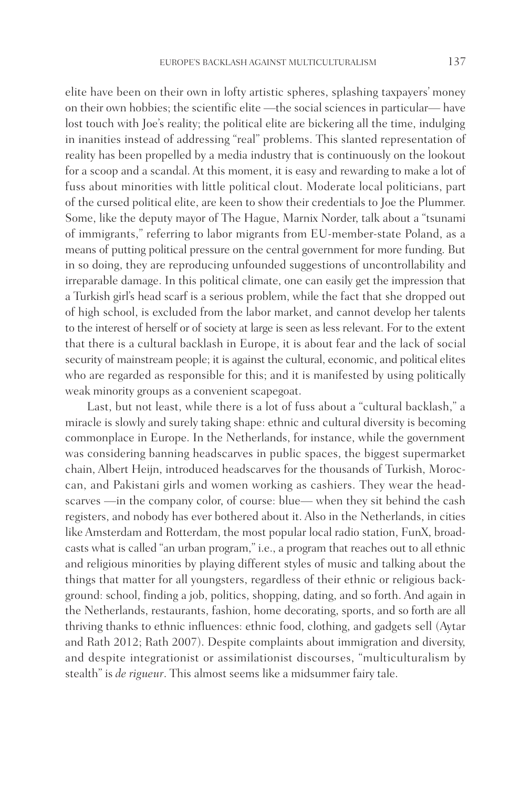elite have been on their own in lofty artistic spheres, splashing taxpayers' money on their own hobbies; the scientific elite —the social sciences in particular— have lost touch with Joe's reality; the political elite are bickering all the time, indulging in inanities instead of addressing "real" problems. This slanted representation of reality has been propelled by a media industry that is continuously on the lookout for a scoop and a scandal. At this moment, it is easy and rewarding to make a lot of fuss about minorities with little political clout. Moderate local politicians, part of the cursed political elite, are keen to show their credentials to Joe the Plummer. Some, like the deputy mayor of The Hague, Marnix Norder, talk about a "tsunami of immigrants," referring to labor migrants from EU-member-state Poland, as a means of putting political pressure on the central government for more funding. But in so doing, they are reproducing unfounded suggestions of uncontrollability and irreparable damage. In this political climate, one can easily get the impression that a Turkish girl's head scarf is a serious problem, while the fact that she dropped out of high school, is excluded from the labor market, and cannot develop her talents to the interest of herself or of society at large is seen as less relevant. For to the extent that there is a cultural backlash in Europe, it is about fear and the lack of social security of mainstream people; it is against the cultural, economic, and political elites who are regarded as responsible for this; and it is manifested by using politically weak minority groups as a convenient scapegoat.

Last, but not least, while there is a lot of fuss about a "cultural backlash," a miracle is slowly and surely taking shape: ethnic and cultural diversity is becoming commonplace in Europe. In the Netherlands, for instance, while the government was considering banning headscarves in public spaces, the biggest supermarket chain, Albert Heijn, introduced headscarves for the thousands of Turkish, Moroccan, and Pakistani girls and women working as cashiers. They wear the headscarves —in the company color, of course: blue— when they sit behind the cash registers, and nobody has ever bothered about it. Also in the Netherlands, in cities like Amsterdam and Rotterdam, the most popular local radio station, FunX, broadcasts what is called "an urban program," i.e., a program that reaches out to all ethnic and religious minorities by playing different styles of music and talking about the things that matter for all youngsters, regardless of their ethnic or religious background: school, finding a job, politics, shopping, dating, and so forth. And again in the Netherlands, restaurants, fashion, home decorating, sports, and so forth are all thriving thanks to ethnic influences: ethnic food, clothing, and gadgets sell (Aytar and Rath 2012; Rath 2007). Despite complaints about immigration and diversity, and despite integrationist or assimilationist discourses, "multiculturalism by stealth" is *de rigueur*. This almost seems like a midsummer fairy tale.